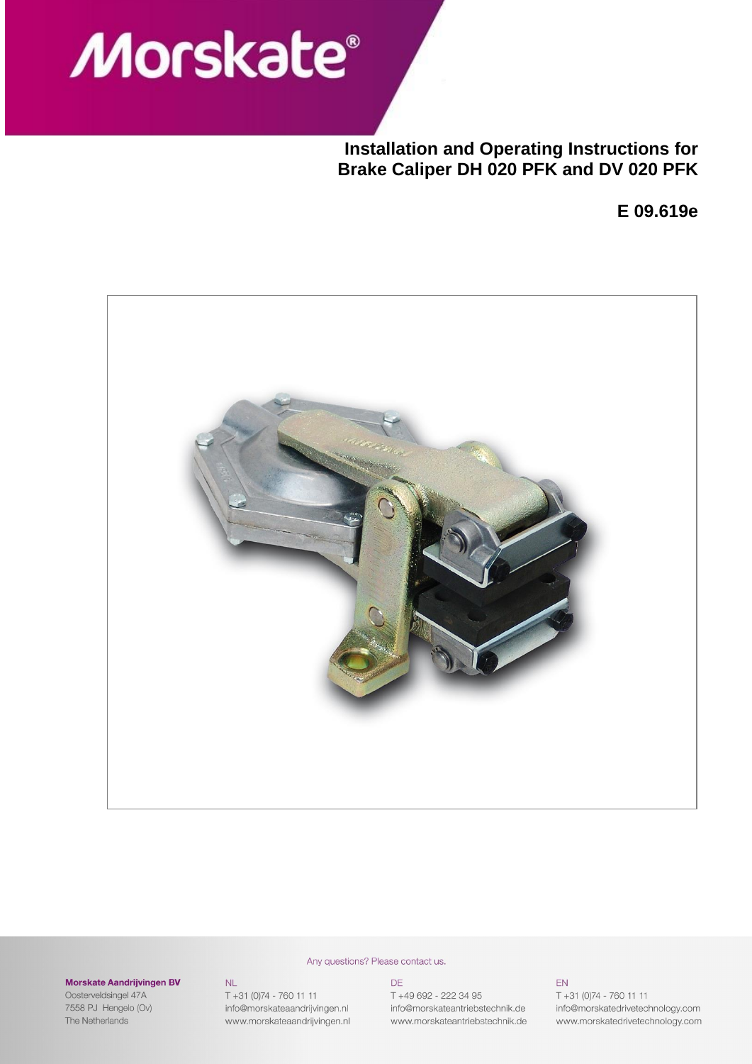# **Morskate®**

**Installation and Operating Instructions for Brake Caliper DH 020 PFK and DV 020 PFK**

**E 09.619e**



#### **Morskate Aandrijvingen BV**

 $NL$ 

T +31 (0)74 - 760 11 11

info@morskateaandrijvingen.nl

www.morskateaandrijvingen.nl

Oosterveldsingel 47A 7558 PJ Hengelo (Ov) The Netherlands

#### Any questions? Please contact us.

#### DE

T +49 692 - 222 34 95 info@morskateantriebstechnik.de www.morskateantriebstechnik.de

#### EN

T +31 (0)74 - 760 11 11 info@morskatedrivetechnology.com www.morskatedrivetechnology.com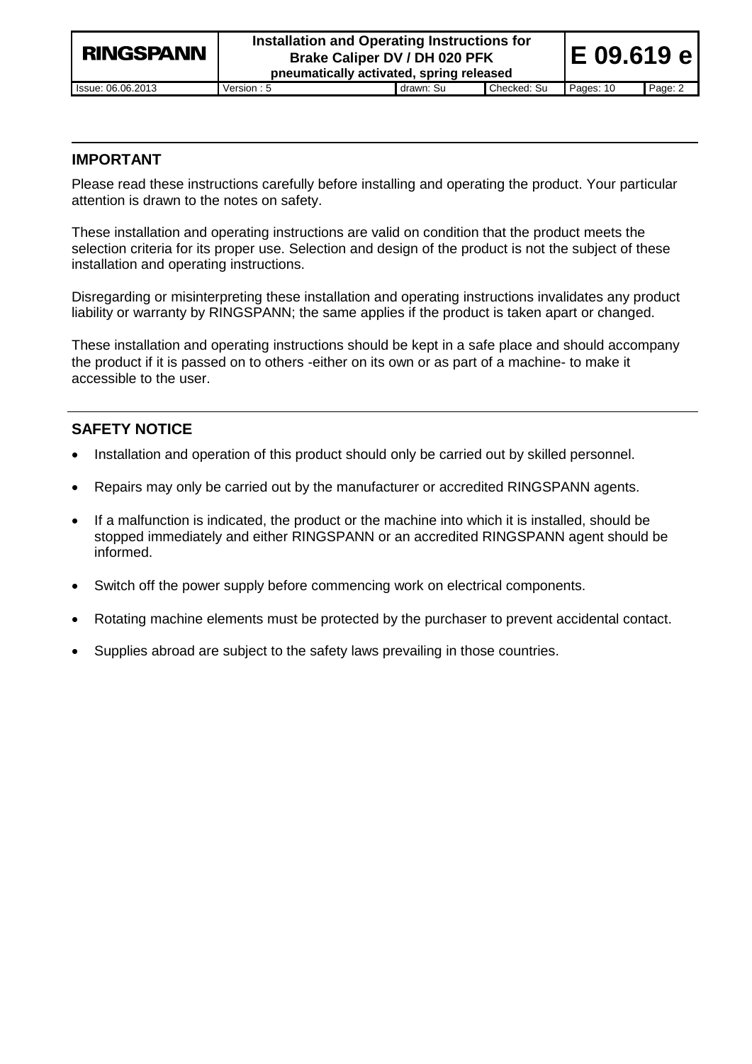| <b>RINGSPANN</b>  | Installation and Operating Instructions for<br>Brake Caliper DV / DH 020 PFK<br>pneumatically activated, spring released | E 09.619 e |             |           |         |
|-------------------|--------------------------------------------------------------------------------------------------------------------------|------------|-------------|-----------|---------|
| Issue: 06.06.2013 | Version: 5                                                                                                               | drawn: Su  | Checked: Su | Pages: 10 | Page: 2 |

# **IMPORTANT**

Please read these instructions carefully before installing and operating the product. Your particular attention is drawn to the notes on safety.

These installation and operating instructions are valid on condition that the product meets the selection criteria for its proper use. Selection and design of the product is not the subject of these installation and operating instructions.

Disregarding or misinterpreting these installation and operating instructions invalidates any product liability or warranty by RINGSPANN; the same applies if the product is taken apart or changed.

These installation and operating instructions should be kept in a safe place and should accompany the product if it is passed on to others -either on its own or as part of a machine- to make it accessible to the user.

# **SAFETY NOTICE**

- Installation and operation of this product should only be carried out by skilled personnel.
- Repairs may only be carried out by the manufacturer or accredited RINGSPANN agents.
- If a malfunction is indicated, the product or the machine into which it is installed, should be stopped immediately and either RINGSPANN or an accredited RINGSPANN agent should be informed.
- Switch off the power supply before commencing work on electrical components.
- Rotating machine elements must be protected by the purchaser to prevent accidental contact.
- Supplies abroad are subject to the safety laws prevailing in those countries.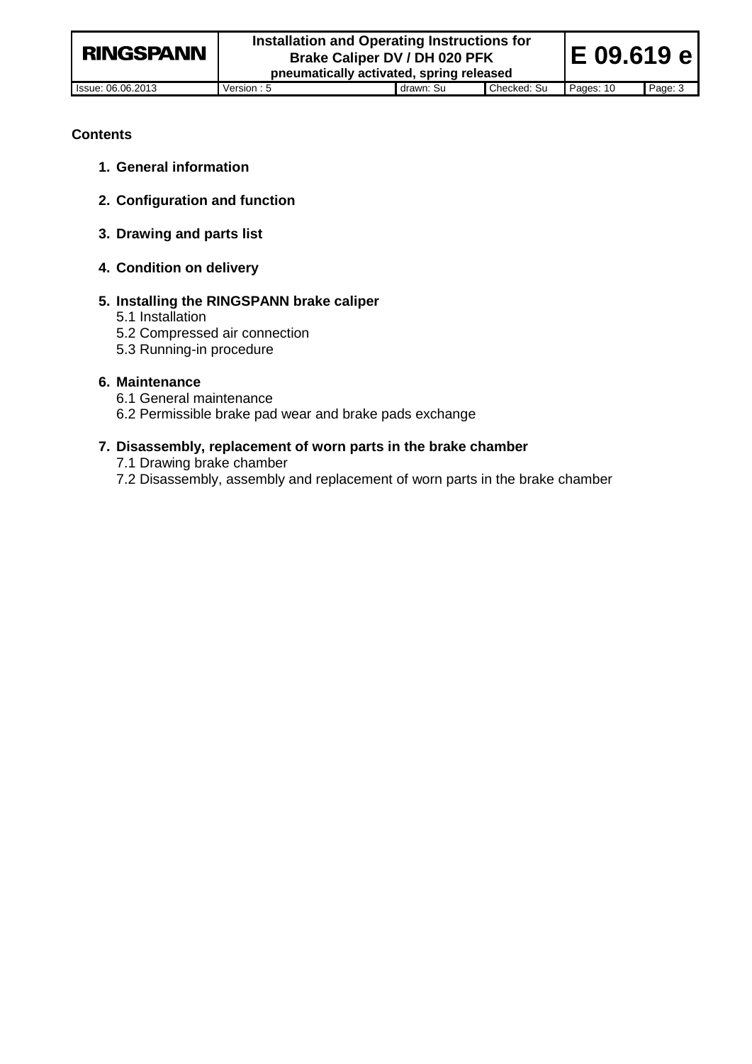## **Contents**

- **1. General information**
- **2. Configuration and function**
- **3. Drawing and parts list**
- **4. Condition on delivery**

#### **5. Installing the RINGSPANN brake caliper**

- 5.1 Installation
- 5.2 Compressed air connection
- 5.3 Running-in procedure

#### **6. Maintenance**

- 6.1 General maintenance
- 6.2 Permissible brake pad wear and brake pads exchange

#### **7. Disassembly, replacement of worn parts in the brake chamber**

7.1 Drawing brake chamber

7.2 Disassembly, assembly and replacement of worn parts in the brake chamber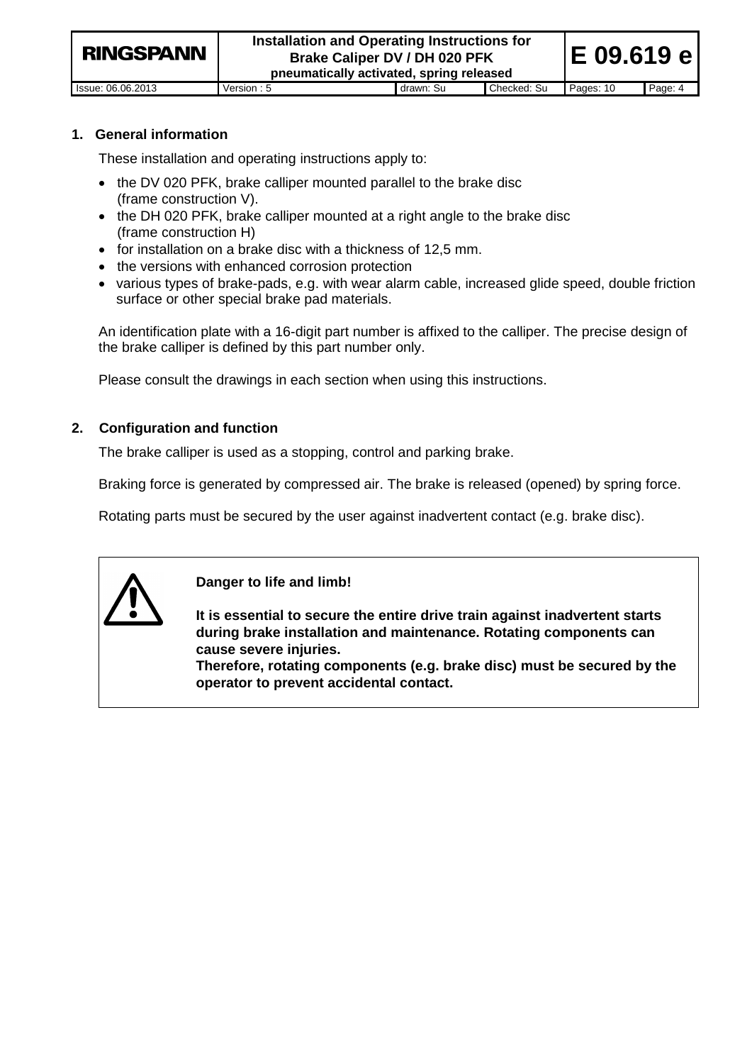| <b>RINGSPANN</b>  | Installation and Operating Instructions for<br>Brake Caliper DV / DH 020 PFK<br>pneumatically activated, spring released | E 09.619 el |             |           |         |
|-------------------|--------------------------------------------------------------------------------------------------------------------------|-------------|-------------|-----------|---------|
| lssue: 06.06.2013 | Version: 5                                                                                                               | drawn: Su   | Checked: Su | Pages: 10 | Page: 4 |

#### **1. General information**

These installation and operating instructions apply to:

- the DV 020 PFK, brake calliper mounted parallel to the brake disc (frame construction V).
- the DH 020 PFK, brake calliper mounted at a right angle to the brake disc (frame construction H)
- for installation on a brake disc with a thickness of 12,5 mm.
- the versions with enhanced corrosion protection
- various types of brake-pads, e.g. with wear alarm cable, increased glide speed, double friction surface or other special brake pad materials.

An identification plate with a 16-digit part number is affixed to the calliper. The precise design of the brake calliper is defined by this part number only.

Please consult the drawings in each section when using this instructions.

#### **2. Configuration and function**

The brake calliper is used as a stopping, control and parking brake.

Braking force is generated by compressed air. The brake is released (opened) by spring force.

Rotating parts must be secured by the user against inadvertent contact (e.g. brake disc).



**Danger to life and limb!**

**It is essential to secure the entire drive train against inadvertent starts during brake installation and maintenance. Rotating components can cause severe injuries.**

**Therefore, rotating components (e.g. brake disc) must be secured by the operator to prevent accidental contact.**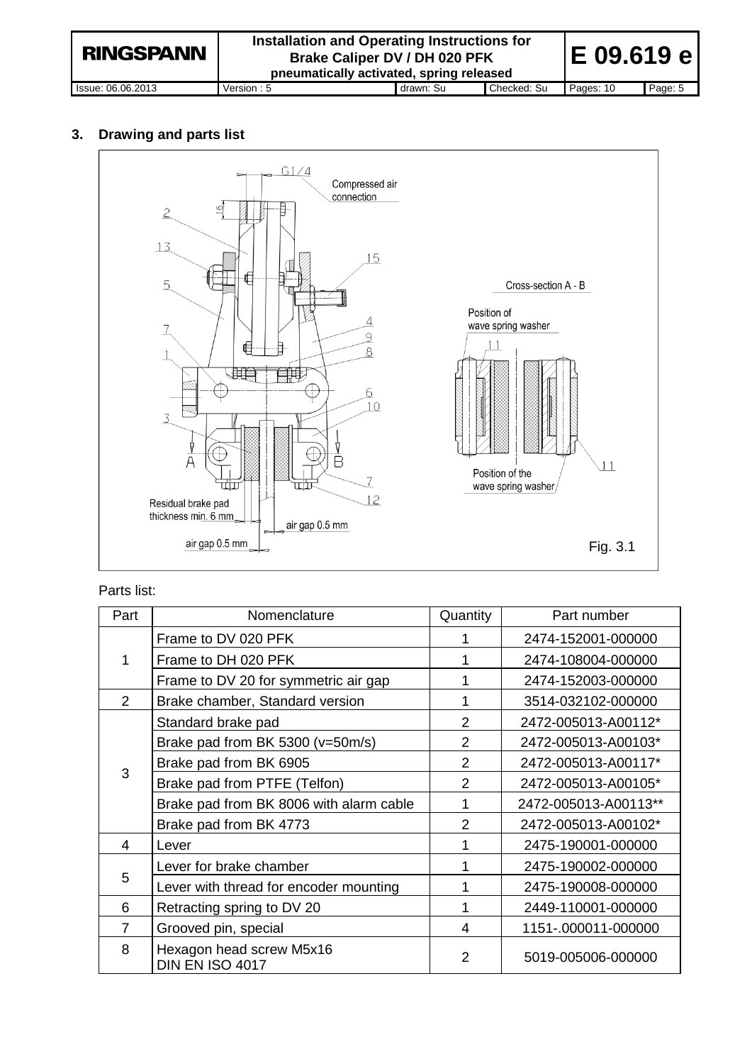**Installation and Operating Instructions for E 09.619 e RINGSPANN Brake Caliper DV / DH 020 PFK pneumatically activated, spring released** Issue: 06.06.2013 Version : 5 drawn: Su Checked: Su Pages: 10 Page: 5

# **3. Drawing and parts list**



## Parts list:

| Part           | Nomenclature                                | Quantity       | Part number          |
|----------------|---------------------------------------------|----------------|----------------------|
|                | Frame to DV 020 PFK                         |                | 2474-152001-000000   |
| 1              | Frame to DH 020 PFK                         |                | 2474-108004-000000   |
|                | Frame to DV 20 for symmetric air gap        |                | 2474-152003-000000   |
| $\mathfrak{p}$ | Brake chamber, Standard version             |                | 3514-032102-000000   |
|                | Standard brake pad                          | 2              | 2472-005013-A00112*  |
|                | Brake pad from BK 5300 (v=50m/s)            | $\overline{2}$ | 2472-005013-A00103*  |
| 3              | Brake pad from BK 6905                      | $\overline{2}$ | 2472-005013-A00117*  |
|                | Brake pad from PTFE (Telfon)                |                | 2472-005013-A00105*  |
|                | Brake pad from BK 8006 with alarm cable     |                | 2472-005013-A00113** |
|                | Brake pad from BK 4773                      | 2              | 2472-005013-A00102*  |
| 4              | Lever                                       |                | 2475-190001-000000   |
|                | Lever for brake chamber                     |                | 2475-190002-000000   |
| 5              | Lever with thread for encoder mounting      |                | 2475-190008-000000   |
| 6              | Retracting spring to DV 20                  | 1              | 2449-110001-000000   |
| 7              | Grooved pin, special                        | 4              | 1151-.000011-000000  |
| 8              | Hexagon head screw M5x16<br>DIN EN ISO 4017 | $\mathcal{P}$  | 5019-005006-000000   |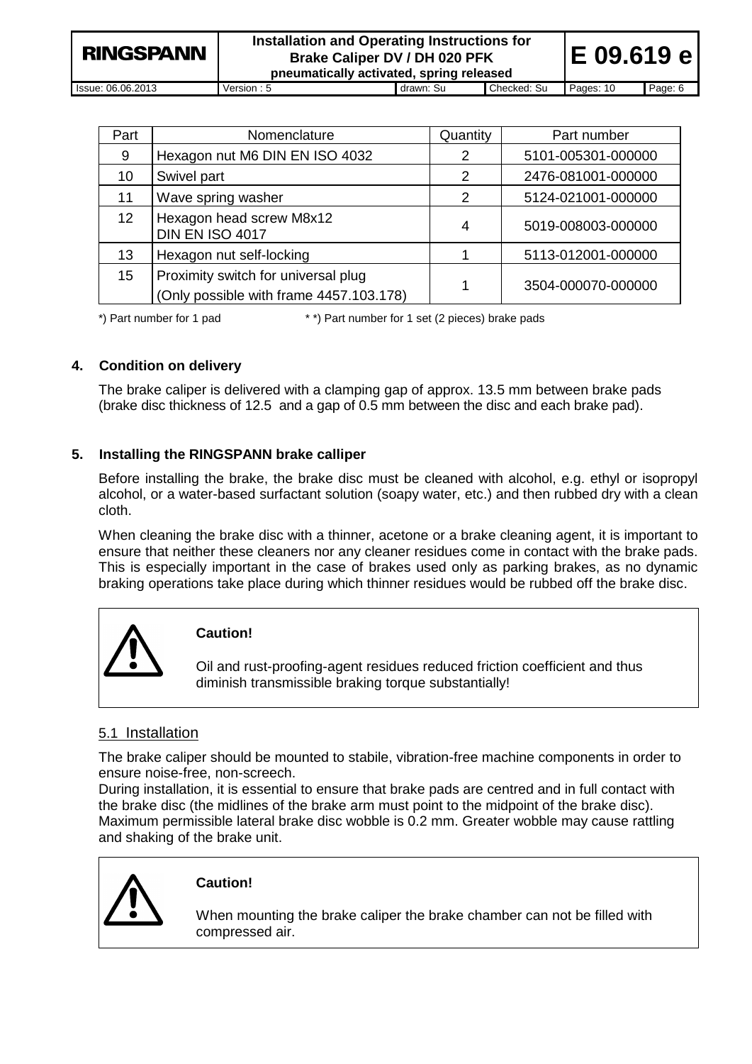| <b>RINGSPANN</b>  | Installation and Operating Instructions for<br>Brake Caliper DV / DH 020 PFK<br>pneumatically activated, spring released | E 09.619 el |             |           |         |
|-------------------|--------------------------------------------------------------------------------------------------------------------------|-------------|-------------|-----------|---------|
| Issue: 06.06.2013 | Version: 5                                                                                                               | drawn: Su   | Checked: Su | Pages: 10 | Page: 6 |

| Part            | Nomenclature                                                                   | Quantity | Part number        |
|-----------------|--------------------------------------------------------------------------------|----------|--------------------|
| 9               | Hexagon nut M6 DIN EN ISO 4032                                                 | 2        | 5101-005301-000000 |
| 10              | Swivel part                                                                    | 2        | 2476-081001-000000 |
| 11              | Wave spring washer                                                             | 2        | 5124-021001-000000 |
| 12 <sup>2</sup> | Hexagon head screw M8x12<br><b>DIN EN ISO 4017</b>                             | 4        | 5019-008003-000000 |
| 13              | Hexagon nut self-locking                                                       |          | 5113-012001-000000 |
| 15              | Proximity switch for universal plug<br>(Only possible with frame 4457.103.178) |          | 3504-000070-000000 |

\*) Part number for 1 pad \* \*) Part number for 1 set (2 pieces) brake pads

# **4. Condition on delivery**

The brake caliper is delivered with a clamping gap of approx. 13.5 mm between brake pads (brake disc thickness of 12.5 and a gap of 0.5 mm between the disc and each brake pad).

# **5. Installing the RINGSPANN brake calliper**

Before installing the brake, the brake disc must be cleaned with alcohol, e.g. ethyl or isopropyl alcohol, or a water-based surfactant solution (soapy water, etc.) and then rubbed dry with a clean cloth.

When cleaning the brake disc with a thinner, acetone or a brake cleaning agent, it is important to ensure that neither these cleaners nor any cleaner residues come in contact with the brake pads. This is especially important in the case of brakes used only as parking brakes, as no dynamic braking operations take place during which thinner residues would be rubbed off the brake disc.



# **Caution!**

Oil and rust-proofing-agent residues reduced friction coefficient and thus diminish transmissible braking torque substantially!

# 5.1 Installation

The brake caliper should be mounted to stabile, vibration-free machine components in order to ensure noise-free, non-screech.

During installation, it is essential to ensure that brake pads are centred and in full contact with the brake disc (the midlines of the brake arm must point to the midpoint of the brake disc). Maximum permissible lateral brake disc wobble is 0.2 mm. Greater wobble may cause rattling and shaking of the brake unit.



# **Caution!**

When mounting the brake caliper the brake chamber can not be filled with compressed air.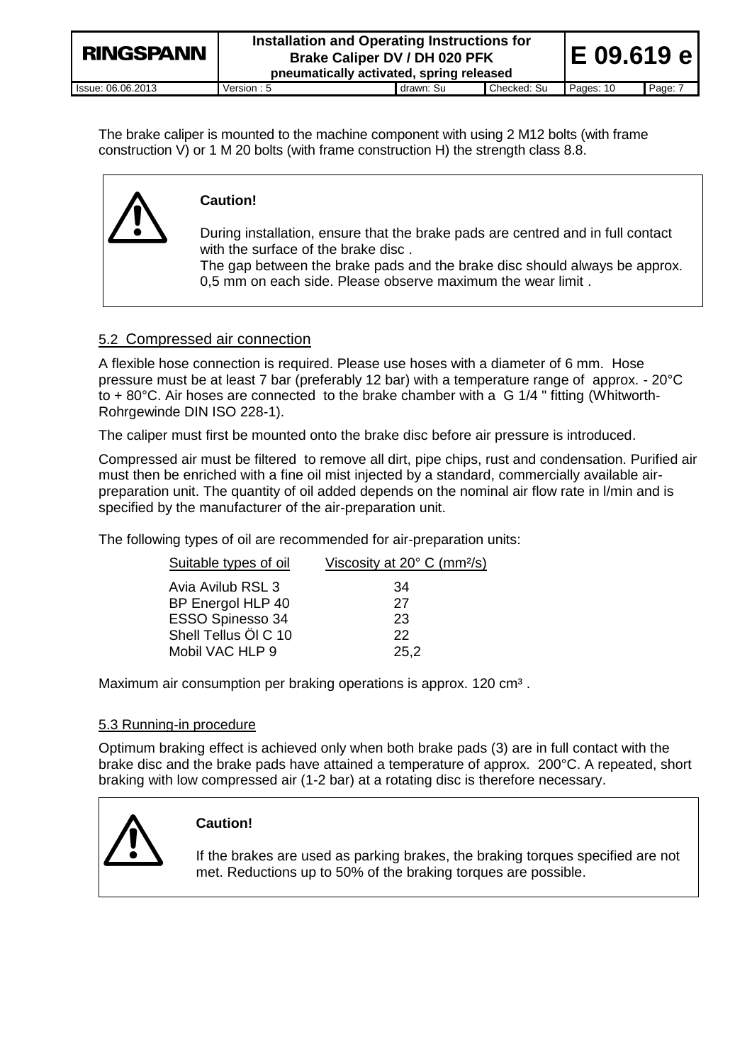| <b>RINGSPANN</b>  | Installation and Operating Instructions for<br>Brake Caliper DV / DH 020 PFK<br>pneumatically activated, spring released | E 09.619 e |             |           |         |
|-------------------|--------------------------------------------------------------------------------------------------------------------------|------------|-------------|-----------|---------|
| lssue: 06.06.2013 | Version: 5                                                                                                               | drawn: Su  | Checked: Su | Pages: 10 | Page: 7 |

The brake caliper is mounted to the machine component with using 2 M12 bolts (with frame construction V) or 1 M 20 bolts (with frame construction H) the strength class 8.8.



# **Caution!**

During installation, ensure that the brake pads are centred and in full contact with the surface of the brake disc .

The gap between the brake pads and the brake disc should always be approx. 0,5 mm on each side. Please observe maximum the wear limit .

# 5.2 Compressed air connection

A flexible hose connection is required. Please use hoses with a diameter of 6 mm. Hose pressure must be at least 7 bar (preferably 12 bar) with a temperature range of approx. - 20°C to + 80°C. Air hoses are connected to the brake chamber with a G 1/4 " fitting (Whitworth-Rohrgewinde DIN ISO 228-1).

The caliper must first be mounted onto the brake disc before air pressure is introduced.

Compressed air must be filtered to remove all dirt, pipe chips, rust and condensation. Purified air must then be enriched with a fine oil mist injected by a standard, commercially available airpreparation unit. The quantity of oil added depends on the nominal air flow rate in l/min and is specified by the manufacturer of the air-preparation unit.

The following types of oil are recommended for air-preparation units:

| Suitable types of oil | Viscosity at $20^{\circ}$ C (mm <sup>2</sup> /s) |
|-----------------------|--------------------------------------------------|
| Avia Avilub RSL 3     | 34                                               |
| BP Energol HLP 40     | 27                                               |
| ESSO Spinesso 34      | 23                                               |
| Shell Tellus Öl C 10  | 22                                               |
| Mobil VAC HLP 9       | 25,2                                             |
|                       |                                                  |

Maximum air consumption per braking operations is approx. 120 cm<sup>3</sup>.

# 5.3 Running-in procedure

Optimum braking effect is achieved only when both brake pads (3) are in full contact with the brake disc and the brake pads have attained a temperature of approx. 200°C. A repeated, short braking with low compressed air (1-2 bar) at a rotating disc is therefore necessary.



# **Caution!**

If the brakes are used as parking brakes, the braking torques specified are not met. Reductions up to 50% of the braking torques are possible.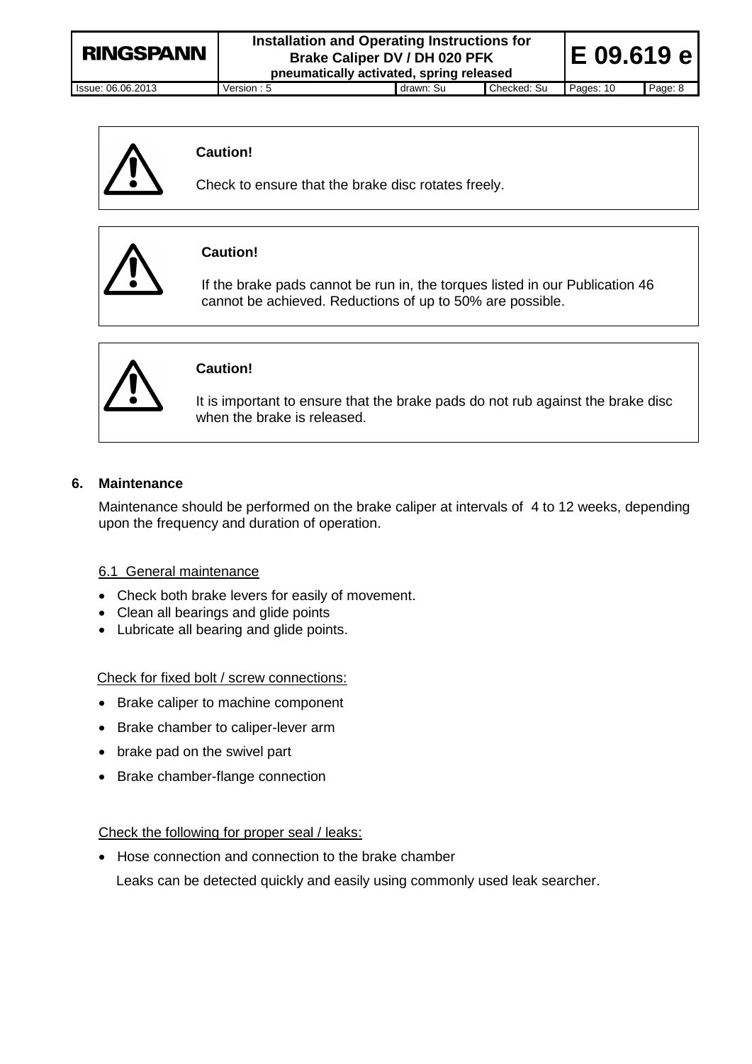| Version : $5$ | drawn: Su | Checked: Su | Pages: 10                                                                                                                | Page: 8    |
|---------------|-----------|-------------|--------------------------------------------------------------------------------------------------------------------------|------------|
|               |           |             | Installation and Operating Instructions for<br>Brake Caliper DV / DH 020 PFK<br>pneumatically activated, spring released | E 09.619 e |



# **Caution!**

Check to ensure that the brake disc rotates freely.



# **Caution!**

If the brake pads cannot be run in, the torques listed in our Publication 46 cannot be achieved. Reductions of up to 50% are possible.



# **Caution!**

It is important to ensure that the brake pads do not rub against the brake disc when the brake is released.

# **6. Maintenance**

Maintenance should be performed on the brake caliper at intervals of 4 to 12 weeks, depending upon the frequency and duration of operation.

#### 6.1 General maintenance

- Check both brake levers for easily of movement.
- Clean all bearings and glide points
- Lubricate all bearing and glide points.

Check for fixed bolt / screw connections:

- Brake caliper to machine component
- Brake chamber to caliper-lever arm
- brake pad on the swivel part
- Brake chamber-flange connection

## Check the following for proper seal / leaks:

• Hose connection and connection to the brake chamber Leaks can be detected quickly and easily using commonly used leak searcher.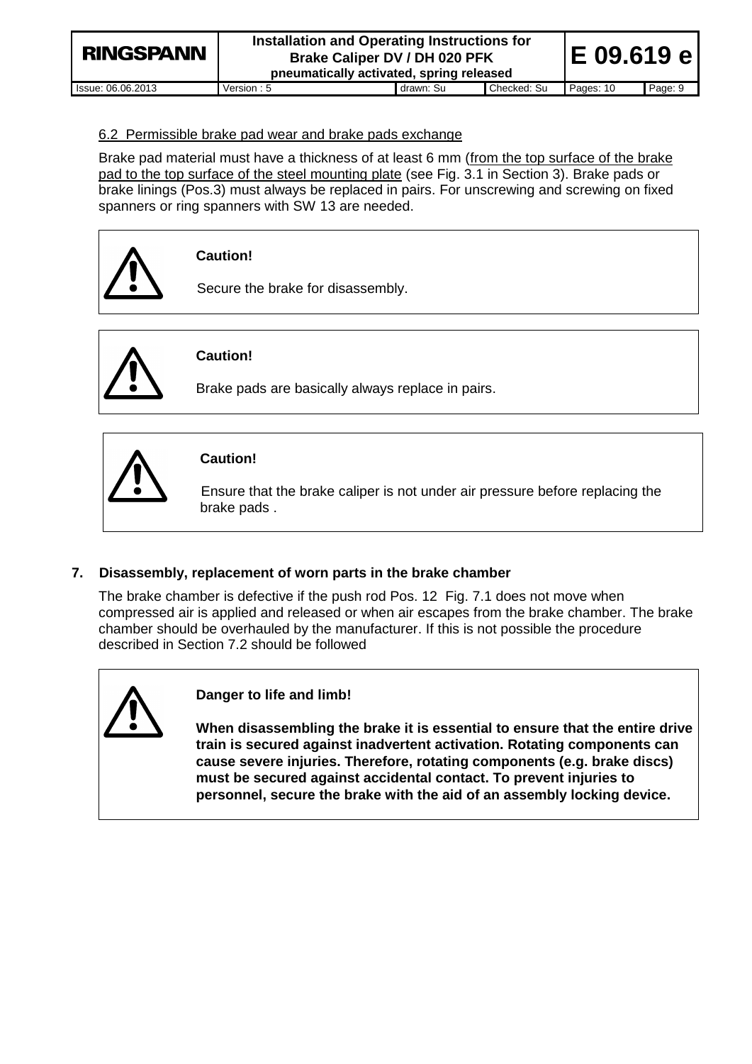| <b>RINGSPANN</b>  | Installation and Operating Instructions for<br>Brake Caliper DV / DH 020 PFK<br>pneumatically activated, spring released | E 09.619 e |             |           |         |
|-------------------|--------------------------------------------------------------------------------------------------------------------------|------------|-------------|-----------|---------|
| lssue: 06.06.2013 | Version: 5                                                                                                               | drawn: Su  | Checked: Su | Pages: 10 | Page: 9 |

#### 6.2 Permissible brake pad wear and brake pads exchange

Brake pad material must have a thickness of at least 6 mm (from the top surface of the brake pad to the top surface of the steel mounting plate (see Fig. 3.1 in Section 3). Brake pads or brake linings (Pos.3) must always be replaced in pairs. For unscrewing and screwing on fixed spanners or ring spanners with SW 13 are needed.



**Caution!**

Secure the brake for disassembly.



# **Caution!**

Brake pads are basically always replace in pairs.



# **Caution!**

Ensure that the brake caliper is not under air pressure before replacing the brake pads .

# **7. Disassembly, replacement of worn parts in the brake chamber**

The brake chamber is defective if the push rod Pos. 12 Fig. 7.1 does not move when compressed air is applied and released or when air escapes from the brake chamber. The brake chamber should be overhauled by the manufacturer. If this is not possible the procedure described in Section 7.2 should be followed



# **Danger to life and limb!**

**When disassembling the brake it is essential to ensure that the entire drive train is secured against inadvertent activation. Rotating components can cause severe injuries. Therefore, rotating components (e.g. brake discs) must be secured against accidental contact. To prevent injuries to personnel, secure the brake with the aid of an assembly locking device.**